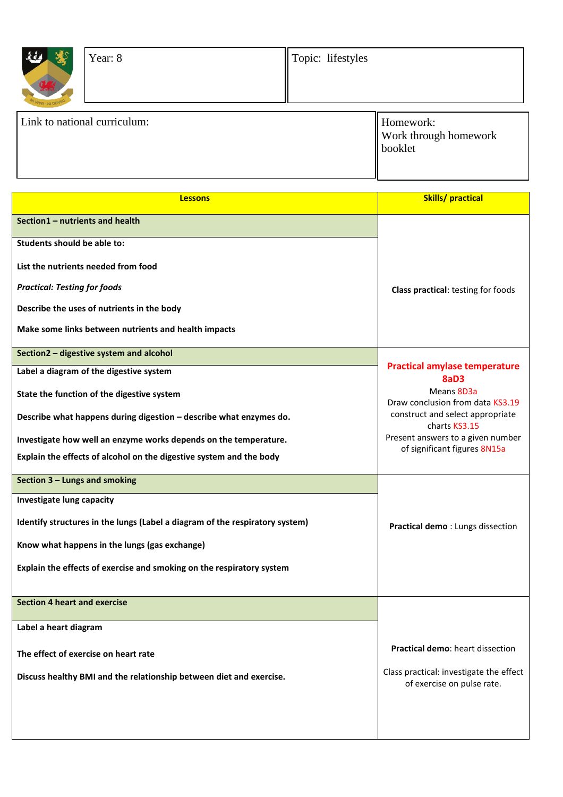| 小<br>Year: 8                 | Topic: lifestyles |                                                      |
|------------------------------|-------------------|------------------------------------------------------|
| Link to national curriculum: |                   | Homework:<br><b>Work through homework</b><br>booklet |

| <b>Lessons</b>                                                               | <b>Skills/practical</b>                                               |
|------------------------------------------------------------------------------|-----------------------------------------------------------------------|
| Section1 - nutrients and health                                              |                                                                       |
| Students should be able to:                                                  |                                                                       |
| List the nutrients needed from food                                          |                                                                       |
| <b>Practical: Testing for foods</b>                                          | <b>Class practical: testing for foods</b>                             |
| Describe the uses of nutrients in the body                                   |                                                                       |
| Make some links between nutrients and health impacts                         |                                                                       |
| Section2 - digestive system and alcohol                                      |                                                                       |
| Label a diagram of the digestive system                                      | <b>Practical amylase temperature</b><br>8aD <sub>3</sub>              |
| State the function of the digestive system                                   | Means 8D3a<br>Draw conclusion from data KS3.19                        |
| Describe what happens during digestion - describe what enzymes do.           | construct and select appropriate<br>charts KS3.15                     |
| Investigate how well an enzyme works depends on the temperature.             | Present answers to a given number<br>of significant figures 8N15a     |
| Explain the effects of alcohol on the digestive system and the body          |                                                                       |
| Section 3 - Lungs and smoking                                                |                                                                       |
| Investigate lung capacity                                                    |                                                                       |
| Identify structures in the lungs (Label a diagram of the respiratory system) | Practical demo: Lungs dissection                                      |
| Know what happens in the lungs (gas exchange)                                |                                                                       |
| Explain the effects of exercise and smoking on the respiratory system        |                                                                       |
|                                                                              |                                                                       |
| <b>Section 4 heart and exercise</b>                                          |                                                                       |
| Label a heart diagram                                                        |                                                                       |
| The effect of exercise on heart rate                                         | <b>Practical demo: heart dissection</b>                               |
| Discuss healthy BMI and the relationship between diet and exercise.          | Class practical: investigate the effect<br>of exercise on pulse rate. |
|                                                                              |                                                                       |
|                                                                              |                                                                       |